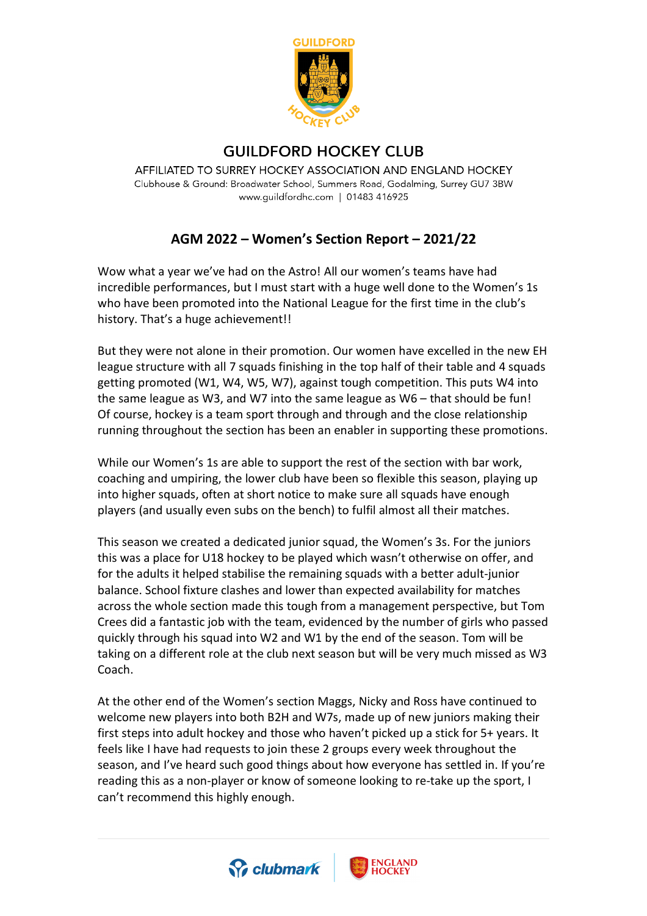

## **GUILDFORD HOCKEY CLUB**

AFFILIATED TO SURREY HOCKEY ASSOCIATION AND ENGLAND HOCKEY Clubhouse & Ground: Broadwater School, Summers Road, Godalming, Surrey GU7 3BW www.guildfordhc.com | 01483 416925

## **AGM 2022 – Women's Section Report – 2021/22**

Wow what a year we've had on the Astro! All our women's teams have had incredible performances, but I must start with a huge well done to the Women's 1s who have been promoted into the National League for the first time in the club's history. That's a huge achievement!!

But they were not alone in their promotion. Our women have excelled in the new EH league structure with all 7 squads finishing in the top half of their table and 4 squads getting promoted (W1, W4, W5, W7), against tough competition. This puts W4 into the same league as W3, and W7 into the same league as W6 – that should be fun! Of course, hockey is a team sport through and through and the close relationship running throughout the section has been an enabler in supporting these promotions.

While our Women's 1s are able to support the rest of the section with bar work, coaching and umpiring, the lower club have been so flexible this season, playing up into higher squads, often at short notice to make sure all squads have enough players (and usually even subs on the bench) to fulfil almost all their matches.

This season we created a dedicated junior squad, the Women's 3s. For the juniors this was a place for U18 hockey to be played which wasn't otherwise on offer, and for the adults it helped stabilise the remaining squads with a better adult-junior balance. School fixture clashes and lower than expected availability for matches across the whole section made this tough from a management perspective, but Tom Crees did a fantastic job with the team, evidenced by the number of girls who passed quickly through his squad into W2 and W1 by the end of the season. Tom will be taking on a different role at the club next season but will be very much missed as W3 Coach.

At the other end of the Women's section Maggs, Nicky and Ross have continued to welcome new players into both B2H and W7s, made up of new juniors making their first steps into adult hockey and those who haven't picked up a stick for 5+ years. It feels like I have had requests to join these 2 groups every week throughout the season, and I've heard such good things about how everyone has settled in. If you're reading this as a non-player or know of someone looking to re-take up the sport, I can't recommend this highly enough.